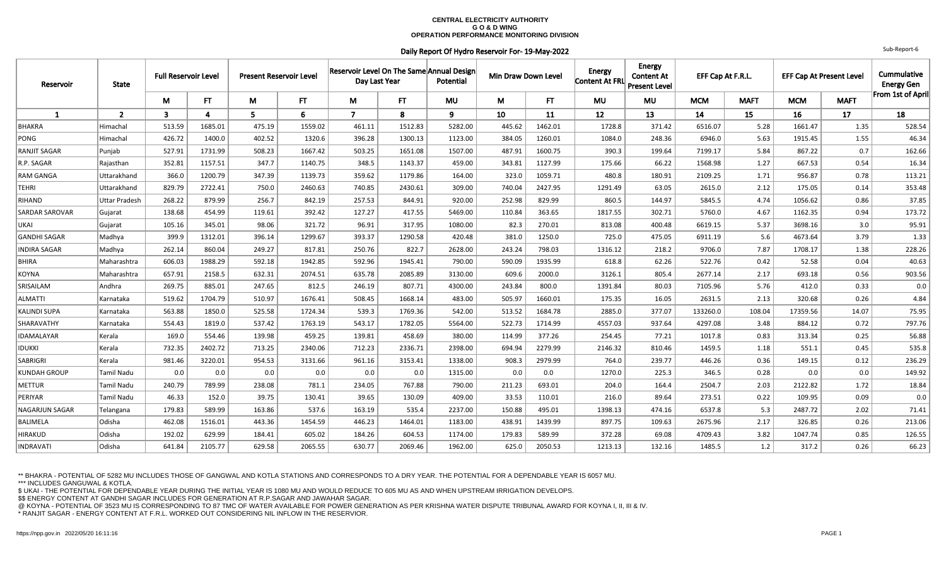## **CENTRAL ELECTRICITY AUTHORITY G O & D WING OPERATION PERFORMANCE MONITORING DIVISION**

## Daily Report Of Hydro Reservoir For- 19-May-2022

| Reservoir             | <b>State</b>         | <b>Full Reservoir Level</b> |         | <b>Present Reservoir Level</b> |         | Reservoir Level On The Same Annual Design<br>Day Last Year |           | Potential |        | Min Draw Down Level |           | <b>Energy</b><br><b>Content At</b><br>Content At FRL<br><b>Present Level</b> | EFF Cap At F.R.L. |             | <b>EFF Cap At Present Level</b> |             | Cummulative<br><b>Energy Gen</b> |
|-----------------------|----------------------|-----------------------------|---------|--------------------------------|---------|------------------------------------------------------------|-----------|-----------|--------|---------------------|-----------|------------------------------------------------------------------------------|-------------------|-------------|---------------------------------|-------------|----------------------------------|
|                       |                      | M                           | FT.     | M                              | FT.     | M                                                          | <b>FT</b> | <b>MU</b> | M      | FT                  | <b>MU</b> | <b>MU</b>                                                                    | <b>MCM</b>        | <b>MAFT</b> | <b>MCM</b>                      | <b>MAFT</b> | From 1st of April                |
| $\mathbf{1}$          | $\overline{2}$       | $\overline{\mathbf{3}}$     | 4       | 5.                             | 6       | $\overline{7}$                                             | 8         | 9         | 10     | 11                  | 12        | 13                                                                           | 14                | 15          | 16                              | 17          | 18                               |
| <b>BHAKRA</b>         | Himachal             | 513.59                      | 1685.01 | 475.19                         | 1559.02 | 461.11                                                     | 1512.83   | 5282.00   | 445.62 | 1462.01             | 1728.8    | 371.42                                                                       | 6516.07           | 5.28        | 1661.47                         | 1.35        | 528.54                           |
| PONG                  | Himachal             | 426.72                      | 1400.0  | 402.52                         | 1320.6  | 396.28                                                     | 1300.13   | 1123.00   | 384.05 | 1260.01             | 1084.0    | 248.36                                                                       | 6946.0            | 5.63        | 1915.45                         | 1.55        | 46.34                            |
| RANJIT SAGAR          | Punjab               | 527.91                      | 1731.99 | 508.23                         | 1667.42 | 503.25                                                     | 1651.08   | 1507.00   | 487.91 | 1600.75             | 390.3     | 199.64                                                                       | 7199.17           | 5.84        | 867.22                          | 0.7         | 162.66                           |
| R.P. SAGAR            | Rajasthan            | 352.81                      | 1157.51 | 347.7                          | 1140.75 | 348.5                                                      | 1143.37   | 459.00    | 343.81 | 1127.99             | 175.66    | 66.22                                                                        | 1568.98           | 1.27        | 667.53                          | 0.54        | 16.34                            |
| <b>RAM GANGA</b>      | Uttarakhand          | 366.0                       | 1200.79 | 347.39                         | 1139.73 | 359.62                                                     | 1179.86   | 164.00    | 323.0  | 1059.71             | 480.8     | 180.91                                                                       | 2109.25           | 1.71        | 956.87                          | 0.78        | 113.21                           |
| TEHRI                 | Uttarakhand          | 829.79                      | 2722.41 | 750.0                          | 2460.63 | 740.85                                                     | 2430.61   | 309.00    | 740.04 | 2427.95             | 1291.49   | 63.05                                                                        | 2615.0            | 2.12        | 175.05                          | 0.14        | 353.48                           |
| RIHAND                | <b>Uttar Pradesh</b> | 268.22                      | 879.99  | 256.7                          | 842.19  | 257.53                                                     | 844.91    | 920.00    | 252.98 | 829.99              | 860.5     | 144.97                                                                       | 5845.5            | 4.74        | 1056.62                         | 0.86        | 37.85                            |
| <b>SARDAR SAROVAR</b> | Gujarat              | 138.68                      | 454.99  | 119.61                         | 392.42  | 127.27                                                     | 417.55    | 5469.00   | 110.84 | 363.65              | 1817.55   | 302.71                                                                       | 5760.0            | 4.67        | 1162.35                         | 0.94        | 173.72                           |
| UKAI                  | Gujarat              | 105.16                      | 345.01  | 98.06                          | 321.72  | 96.91                                                      | 317.95    | 1080.00   | 82.3   | 270.01              | 813.08    | 400.48                                                                       | 6619.15           | 5.37        | 3698.16                         | 3.0         | 95.91                            |
| <b>GANDHI SAGAR</b>   | Madhya               | 399.9                       | 1312.01 | 396.14                         | 1299.67 | 393.37                                                     | 1290.58   | 420.48    | 381.0  | 1250.0              | 725.0     | 475.05                                                                       | 6911.19           | 5.6         | 4673.64                         | 3.79        | 1.33                             |
| <b>INDIRA SAGAR</b>   | Madhya               | 262.14                      | 860.04  | 249.27                         | 817.81  | 250.76                                                     | 822.7     | 2628.00   | 243.24 | 798.03              | 1316.12   | 218.2                                                                        | 9706.0            | 7.87        | 1708.17                         | 1.38        | 228.26                           |
| BHIRA                 | Maharashtra          | 606.03                      | 1988.29 | 592.18                         | 1942.85 | 592.96                                                     | 1945.41   | 790.00    | 590.09 | 1935.99             | 618.8     | 62.26                                                                        | 522.76            | 0.42        | 52.58                           | 0.04        | 40.63                            |
| KOYNA                 | Maharashtra          | 657.91                      | 2158.5  | 632.31                         | 2074.51 | 635.78                                                     | 2085.89   | 3130.00   | 609.6  | 2000.0              | 3126.1    | 805.4                                                                        | 2677.14           | 2.17        | 693.18                          | 0.56        | 903.56                           |
| SRISAILAM             | Andhra               | 269.75                      | 885.01  | 247.65                         | 812.5   | 246.19                                                     | 807.71    | 4300.00   | 243.84 | 800.0               | 1391.84   | 80.03                                                                        | 7105.96           | 5.76        | 412.0                           | 0.33        | 0.0                              |
| ALMATTI               | Karnataka            | 519.62                      | 1704.79 | 510.97                         | 1676.41 | 508.45                                                     | 1668.14   | 483.00    | 505.97 | 1660.01             | 175.35    | 16.05                                                                        | 2631.5            | 2.13        | 320.68                          | 0.26        | 4.84                             |
| <b>KALINDI SUPA</b>   | Karnataka            | 563.88                      | 1850.0  | 525.58                         | 1724.34 | 539.3                                                      | 1769.36   | 542.00    | 513.52 | 1684.78             | 2885.0    | 377.07                                                                       | 133260.0          | 108.04      | 17359.56                        | 14.07       | 75.95                            |
| SHARAVATHY            | Karnataka            | 554.43                      | 1819.0  | 537.42                         | 1763.19 | 543.17                                                     | 1782.05   | 5564.00   | 522.73 | 1714.99             | 4557.03   | 937.64                                                                       | 4297.08           | 3.48        | 884.12                          | 0.72        | 797.76                           |
| IDAMALAYAR            | Kerala               | 169.0                       | 554.46  | 139.98                         | 459.25  | 139.81                                                     | 458.69    | 380.00    | 114.99 | 377.26              | 254.45    | 77.21                                                                        | 1017.8            | 0.83        | 313.34                          | 0.25        | 56.88                            |
| <b>IDUKKI</b>         | Kerala               | 732.35                      | 2402.72 | 713.25                         | 2340.06 | 712.23                                                     | 2336.71   | 2398.00   | 694.94 | 2279.99             | 2146.32   | 810.46                                                                       | 1459.5            | 1.18        | 551.1                           | 0.45        | 535.8                            |
| SABRIGRI              | Kerala               | 981.46                      | 3220.01 | 954.53                         | 3131.66 | 961.16                                                     | 3153.41   | 1338.00   | 908.3  | 2979.99             | 764.0     | 239.77                                                                       | 446.26            | 0.36        | 149.15                          | 0.12        | 236.29                           |
| <b>KUNDAH GROUP</b>   | Tamil Nadu           | 0.0                         | 0.0     | 0.0                            | 0.0     | 0.0                                                        | 0.0       | 1315.00   | 0.0    | 0.0                 | 1270.0    | 225.3                                                                        | 346.5             | 0.28        | 0.0                             | 0.0         | 149.92                           |
| METTUR                | Tamil Nadu           | 240.79                      | 789.99  | 238.08                         | 781.1   | 234.05                                                     | 767.88    | 790.00    | 211.23 | 693.01              | 204.0     | 164.4                                                                        | 2504.7            | 2.03        | 2122.82                         | 1.72        | 18.84                            |
| PERIYAR               | Tamil Nadu           | 46.33                       | 152.0   | 39.75                          | 130.41  | 39.65                                                      | 130.09    | 409.00    | 33.53  | 110.01              | 216.0     | 89.64                                                                        | 273.51            | 0.22        | 109.95                          | 0.09        | 0.0                              |
| NAGARJUN SAGAR        | Telangana            | 179.83                      | 589.99  | 163.86                         | 537.6   | 163.19                                                     | 535.4     | 2237.00   | 150.88 | 495.01              | 1398.13   | 474.16                                                                       | 6537.8            | 5.3         | 2487.72                         | 2.02        | 71.41                            |
| BALIMELA              | Odisha               | 462.08                      | 1516.01 | 443.36                         | 1454.59 | 446.23                                                     | 1464.01   | 1183.00   | 438.91 | 1439.99             | 897.75    | 109.63                                                                       | 2675.96           | 2.17        | 326.85                          | 0.26        | 213.06                           |
| HIRAKUD               | Odisha               | 192.02                      | 629.99  | 184.41                         | 605.02  | 184.26                                                     | 604.53    | 1174.00   | 179.83 | 589.99              | 372.28    | 69.08                                                                        | 4709.43           | 3.82        | 1047.74                         | 0.85        | 126.55                           |
| INDRAVATI             | Odisha               | 641.84                      | 2105.77 | 629.58                         | 2065.55 | 630.77                                                     | 2069.46   | 1962.00   | 625.0  | 2050.53             | 1213.13   | 132.16                                                                       | 1485.5            | 1.2         | 317.2                           | 0.26        | 66.23                            |

 \*\* BHAKRA - POTENTIAL OF 5282 MU INCLUDES THOSE OF GANGWAL AND KOTLA STATIONS AND CORRESPONDS TO A DRY YEAR. THE POTENTIAL FOR A DEPENDABLE YEAR IS 6057 MU.\*\*\* INCLUDES GANGUWAL & KOTLA.

\$ UKAI - THE POTENTIAL FOR DEPENDABLE YEAR DURING THE INITIAL YEAR IS 1080 MU AND WOULD REDUCE TO 605 MU AS AND WHEN UPSTREAM IRRIGATION DEVELOPS.

\$\$ ENERGY CONTENT AT GANDHI SAGAR INCLUDES FOR GENERATION AT R.P.SAGAR AND JAWAHAR SAGAR.

@ KOYNA - POTENTIAL OF 3523 MU IS CORRESPONDING TO 87 TMC OF WATER AVAILABLE FOR POWER GENERATION AS PER KRISHNA WATER DISPUTE TRIBUNAL AWARD FOR KOYNA I, II, III & IV.

\* RANJIT SAGAR - ENERGY CONTENT AT F.R.L. WORKED OUT CONSIDERING NIL INFLOW IN THE RESERVIOR.